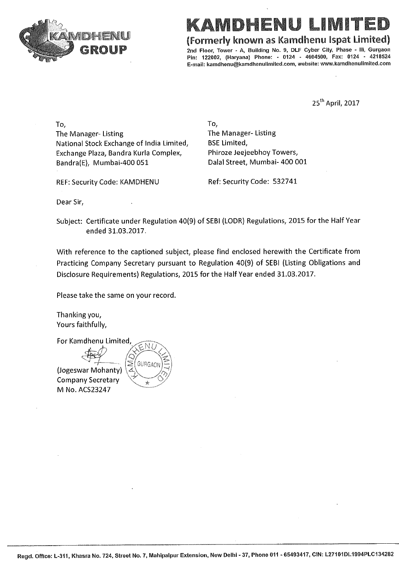

# (Formerly known as Kamdhenu Ispat Limited)

2nd Floor, Tower - A, Building No. 9, DLF Cyber City, Phase - III, Gurgaon Pin: 122002, (Haryana) Phone: - 0124 - 4604500, Fax: 0124 - 4218524 E-mail: kamdhenu@kamdhenulimited.com, website: www.kamdhenulimited.com

25<sup>th</sup> April, 2017

To, The Manager-Listing National Stock Exchange of India Limited, Exchange Plaza, Bandra Kurla Complex, Bandra(E), Mumbai-400 051

To, The Manager-Listing **BSE Limited,** Phiroze Jeejeebhoy Towers, Dalal Street, Mumbai- 400 001

Ref: Security Code: 532741

REF: Security Code: KAMDHENU

Dear Sir,

Subject: Certificate under Regulation 40(9) of SEBI (LODR) Regulations, 2015 for the Half Year ended 31.03.2017.

With reference to the captioned subject, please find enclosed herewith the Certificate from Practicing Company Secretary pursuant to Regulation 40(9) of SEBI (Listing Obligations and Disclosure Requirements) Regulations, 2015 for the Half Year ended 31.03.2017.

Please take the same on your record.

Thanking you, Yours faithfully,

For Kamdhenu Limited